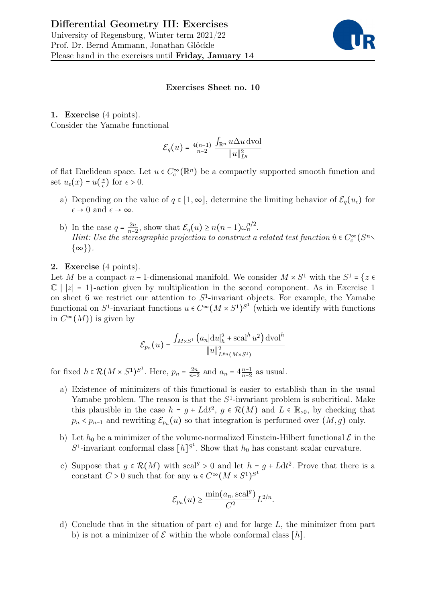

## Exercises Sheet no. 10

1. Exercise (4 points). Consider the Yamabe functional

$$
\mathcal{E}_q(u) = \frac{4(n-1)}{n-2} \frac{\int_{\mathbb{R}^n} u \Delta u \, \mathrm{dvol}}{\|u\|_{L^q}^2}
$$

of flat Euclidean space. Let  $u \in C_c^{\infty}(\mathbb{R}^n)$  be a compactly supported smooth function and set  $u_{\epsilon}(x) = u(\frac{x}{\epsilon})$  $\frac{x}{\epsilon}$ ) for  $\epsilon > 0$ .

- a) Depending on the value of  $q \in [1,\infty]$ , determine the limiting behavior of  $\mathcal{E}_q(u_\epsilon)$  for  $\epsilon \to 0$  and  $\epsilon \to \infty$ .
- b) In the case  $q = \frac{2n}{n-2}$  $\frac{2n}{n-2}$ , show that  $\mathcal{E}_q(u) \geq n(n-1)\omega_n^{n/2}$ . Hint: Use the stereographic projection to construct a related test function  $\hat{u} \in C_c^{\infty}(S^n \setminus S^n)$  $\{\infty\}$ ).

2. Exercise (4 points).

Let M be a compact  $n-1$ -dimensional manifold. We consider  $M \times S^1$  with the  $S^1 = \{z \in S \mid S \neq S^1\}$  $\mathbb{C}$  | |z| = 1}-action given by multiplication in the second component. As in Exercise 1 on sheet 6 we restrict our attention to  $S^1$ -invariant objects. For example, the Yamabe functional on  $S^1$ -invariant functions  $u \in C^\infty(M \times S^1)^{S^1}$  (which we identify with functions in  $C^{\infty}(M)$  is given by

$$
\mathcal{E}_{p_n}(u) = \frac{\int_{M \times S^1} \left( a_n |\mathrm{d}u|_h^2 + \mathrm{scal}^h u^2 \right) \mathrm{dvol}^h}{\|u\|_{L^{p_n}(M \times S^1)}^2}
$$

for fixed  $h \in \mathcal{R}(M \times S^1)^{S^1}$ . Here,  $p_n = \frac{2n}{n-1}$  $\frac{2n}{n-2}$  and  $a_n = 4\frac{n-1}{n-2}$  $\frac{n-1}{n-2}$  as usual.

- a) Existence of minimizers of this functional is easier to establish than in the usual Yamabe problem. The reason is that the  $S<sup>1</sup>$ -invariant problem is subcritical. Make this plausible in the case  $h = g + L dt^2$ ,  $g \in \mathcal{R}(M)$  and  $L \in \mathbb{R}_{>0}$ , by checking that  $p_n$  <  $p_{n-1}$  and rewriting  $\mathcal{E}_{p_n}(u)$  so that integration is performed over  $(M, g)$  only.
- b) Let  $h_0$  be a minimizer of the volume-normalized Einstein-Hilbert functional  $\mathcal E$  in the  $S^1$ -invariant conformal class  $[h]^{S^1}$ . Show that  $h_0$  has constant scalar curvature.
- c) Suppose that  $g \in \mathcal{R}(M)$  with scal<sup>g</sup> > 0 and let  $h = g + L dt^2$ . Prove that there is a constant  $C > 0$  such that for any  $u \in C^{\infty}(M \times S^1)^{S^1}$

$$
\mathcal{E}_{p_n}(u) \ge \frac{\min(a_n, \text{scal}^g)}{C^2} L^{2/n}.
$$

d) Conclude that in the situation of part c) and for large L, the minimizer from part b) is not a minimizer of  $\mathcal E$  within the whole conformal class  $[h]$ .